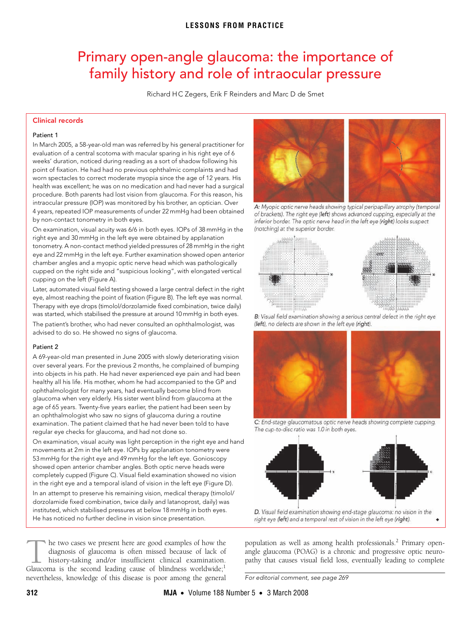# <span id="page-0-0"></span>The Medical Primary open-ar Primar[y o](#page-0-0)[pe](#page-1-2)n-angle glaucoma: the importance of  $\blacksquare$  The Medical Voltantia 2008 family history and role of intraocular pressure

Richard HC Zegers, Erik F Reinders and Marc D de Smet

# Clinical records

### Patient 1

In March 2005, a 58-year-old man was referred by his general practitioner for evaluation of a central scotoma with macular sparing in his right eye of 6 weeks' duration, noticed during reading as a sort of shadow following his point of fixation. He had had no previous ophthalmic complaints and had worn spectacles to correct moderate myopia since the age of 12 years. His health was excellent; he was on no medication and had never had a surgical procedure. Both parents had lost vision from glaucoma. For this reason, his intraocular pressure (IOP) was monitored by his brother, an optician. Over 4 years, repeated IOP measurements of under 22 mmHg had been obtained by non-contact tonometry in both eyes.

On examination, visual acuity was 6/6 in both eyes. IOPs of 38 mmHg in the right eye and 30 mmHg in the left eye were obtained by applanation tonometry. A non-contact method yielded pressures of 28 mmHg in the right eye and 22 mmHg in the left eye. Further examination showed open anterior chamber angles and a myopic optic nerve head which was pathologically cupped on the right side and "suspicious looking", with elongated vertical cupping on the left (Figure A).

Later, automated visual field testing showed a large central defect in the right eye, almost reaching the point of fixation (Figure B). The left eye was normal. Therapy with eye drops (timolol/dorzolamide fixed combination, twice daily) was started, which stabilised the pressure at around 10 mmHg in both eyes.

The patient's brother, who had never consulted an ophthalmologist, was advised to do so. He showed no signs of glaucoma.

## Patient 2

A 69-year-old man presented in June 2005 with slowly deteriorating vision over several years. For the previous 2 months, he complained of bumping into objects in his path. He had never experienced eye pain and had been healthy all his life. His mother, whom he had accompanied to the GP and ophthalmologist for many years, had eventually become blind from glaucoma when very elderly. His sister went blind from glaucoma at the age of 65 years. Twenty-five years earlier, the patient had been seen by an ophthalmologist who saw no signs of glaucoma during a routine examination. The patient claimed that he had never been told to have regular eye checks for glaucoma, and had not done so.

On examination, visual acuity was light perception in the right eye and hand movements at 2m in the left eye. IOPs by applanation tonometry were 53 mmHg for the right eye and 49 mmHg for the left eye. Gonioscopy showed open anterior chamber angles. Both optic nerve heads were completely cupped (Figure C). Visual field examination showed no vision in the right eye and a temporal island of vision in the left eye (Figure D).

In an attempt to preserve his remaining vision, medical therapy (timolol/ dorzolamide fixed combination, twice daily and latanoprost, daily) was instituted, which stabilised pressures at below 18 mmHg in both eyes. He has noticed no further decline in vision since presentation.

he two cases we present here are good examples of how the diagnosis of glaucoma is often missed because of lack of history-taking and/or insufficient clinical examination. The two cases we present here are good examples of how the diagnosis of glaucoma is often missed because of lack of history-taking and/or insufficient clinical examination. Glaucoma is the second leading cause of blindness nevertheless, knowledge of this disease is poor among the general



A: Myopic optic nerve heads showing typical peripapillary atrophy (temporal of brackets). The right eye (left) shows advanced cupping, especially at the inferior border. The optic nerve head in the left eye (right) looks suspect (notching) at the superior border.



B: Visual field examination showing a serious central defect in the right eye (left), no defects are shown in the left eye (right).



C: End-stage glaucomatous optic nerve heads showing complete cupping. The cup-to-disc ratio was 1.0 in both eyes.



D. Visual field examination showing end-stage glaucoma: no vision in the right eye (left) and a temporal rest of vision in the left eye (right).

population as well as among health professionals.<sup>2</sup> Primary openangle glaucoma (POAG) is a chronic and progressive optic neuropathy that causes visual field loss, eventually leading to complete

For editorial comment, see page 269